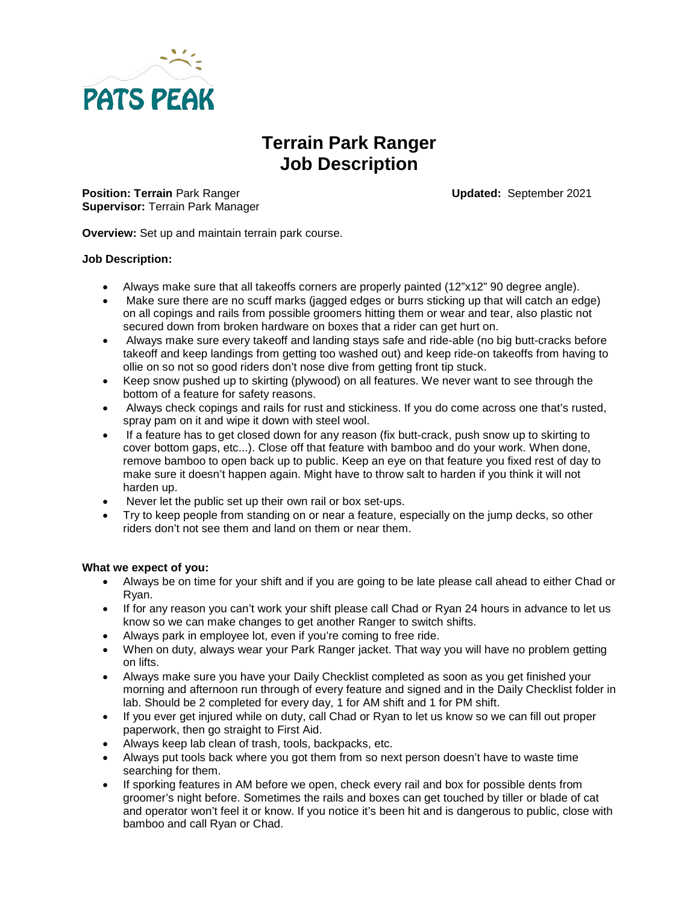

# **Terrain Park Ranger Job Description**

**Position: Terrain** Park Ranger **Updated:** September 2021 **Supervisor:** Terrain Park Manager

**Overview:** Set up and maintain terrain park course.

## **Job Description:**

- Always make sure that all takeoffs corners are properly painted (12"x12" 90 degree angle).
- Make sure there are no scuff marks (jagged edges or burrs sticking up that will catch an edge) on all copings and rails from possible groomers hitting them or wear and tear, also plastic not secured down from broken hardware on boxes that a rider can get hurt on.
- Always make sure every takeoff and landing stays safe and ride-able (no big butt-cracks before takeoff and keep landings from getting too washed out) and keep ride-on takeoffs from having to ollie on so not so good riders don't nose dive from getting front tip stuck.
- Keep snow pushed up to skirting (plywood) on all features. We never want to see through the bottom of a feature for safety reasons.
- Always check copings and rails for rust and stickiness. If you do come across one that's rusted, spray pam on it and wipe it down with steel wool.
- If a feature has to get closed down for any reason (fix butt-crack, push snow up to skirting to cover bottom gaps, etc...). Close off that feature with bamboo and do your work. When done, remove bamboo to open back up to public. Keep an eye on that feature you fixed rest of day to make sure it doesn't happen again. Might have to throw salt to harden if you think it will not harden up.
- Never let the public set up their own rail or box set-ups.
- Try to keep people from standing on or near a feature, especially on the jump decks, so other riders don't not see them and land on them or near them.

#### **What we expect of you:**

- Always be on time for your shift and if you are going to be late please call ahead to either Chad or Ryan.
- If for any reason you can't work your shift please call Chad or Ryan 24 hours in advance to let us know so we can make changes to get another Ranger to switch shifts.
- Always park in employee lot, even if you're coming to free ride.
- When on duty, always wear your Park Ranger jacket. That way you will have no problem getting on lifts.
- Always make sure you have your Daily Checklist completed as soon as you get finished your morning and afternoon run through of every feature and signed and in the Daily Checklist folder in lab. Should be 2 completed for every day, 1 for AM shift and 1 for PM shift.
- If you ever get injured while on duty, call Chad or Ryan to let us know so we can fill out proper paperwork, then go straight to First Aid.
- Always keep lab clean of trash, tools, backpacks, etc.
- Always put tools back where you got them from so next person doesn't have to waste time searching for them.
- If sporking features in AM before we open, check every rail and box for possible dents from groomer's night before. Sometimes the rails and boxes can get touched by tiller or blade of cat and operator won't feel it or know. If you notice it's been hit and is dangerous to public, close with bamboo and call Ryan or Chad.